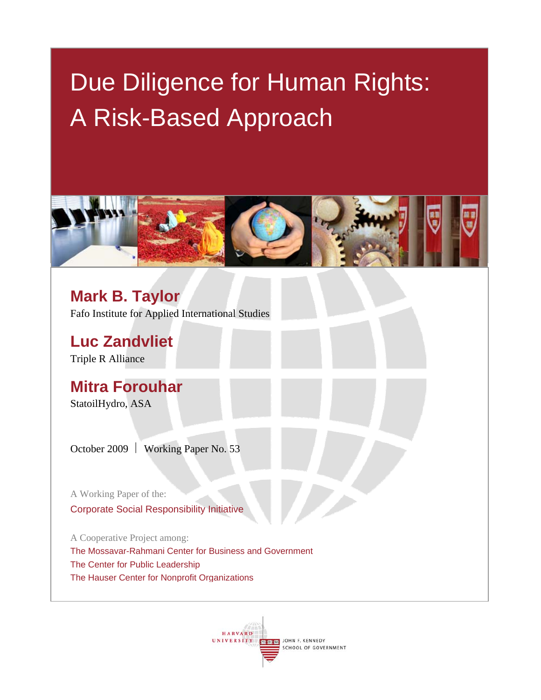# Due Diligence for Human Rights: A Risk-Based Approach



**Mark B. Taylor**  Fafo Institute for Applied International Studies

**Luc Zandvliet**  Triple R Alliance

**Mitra Forouhar**  StatoilHydro, ASA

October 2009  $\vert$  Working Paper No. 53

A Working Paper of the: Corporate Social Responsibility Initiative

A Cooperative Project among: The Mossavar-Rahmani Center for Business and Government The Center for Public Leadership The Hauser Center for Nonprofit Organizations

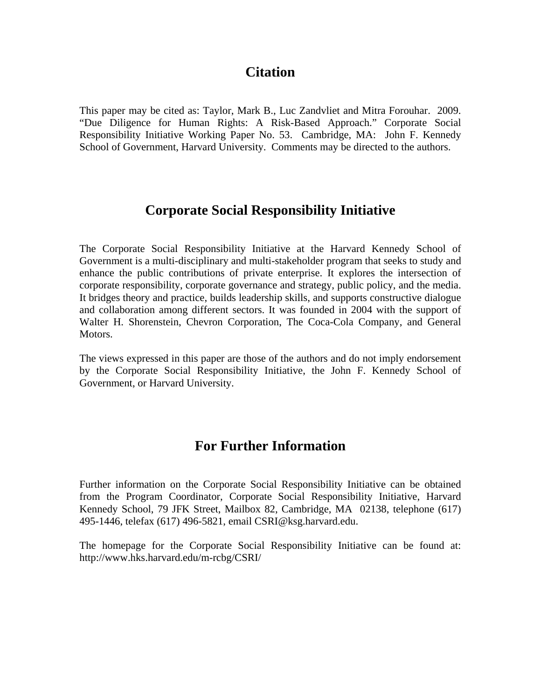# **Citation**

This paper may be cited as: Taylor, Mark B., Luc Zandvliet and Mitra Forouhar. 2009. "Due Diligence for Human Rights: A Risk-Based Approach." Corporate Social Responsibility Initiative Working Paper No. 53. Cambridge, MA: John F. Kennedy School of Government, Harvard University. Comments may be directed to the authors.

# **Corporate Social Responsibility Initiative**

The Corporate Social Responsibility Initiative at the Harvard Kennedy School of Government is a multi-disciplinary and multi-stakeholder program that seeks to study and enhance the public contributions of private enterprise. It explores the intersection of corporate responsibility, corporate governance and strategy, public policy, and the media. It bridges theory and practice, builds leadership skills, and supports constructive dialogue and collaboration among different sectors. It was founded in 2004 with the support of Walter H. Shorenstein, Chevron Corporation, The Coca-Cola Company, and General Motors.

The views expressed in this paper are those of the authors and do not imply endorsement by the Corporate Social Responsibility Initiative, the John F. Kennedy School of Government, or Harvard University.

# **For Further Information**

Further information on the Corporate Social Responsibility Initiative can be obtained from the Program Coordinator, Corporate Social Responsibility Initiative, Harvard Kennedy School, 79 JFK Street, Mailbox 82, Cambridge, MA 02138, telephone (617) 495-1446, telefax (617) 496-5821, email CSRI@ksg.harvard.edu.

The homepage for the Corporate Social Responsibility Initiative can be found at: http://www.hks.harvard.edu/m-rcbg/CSRI/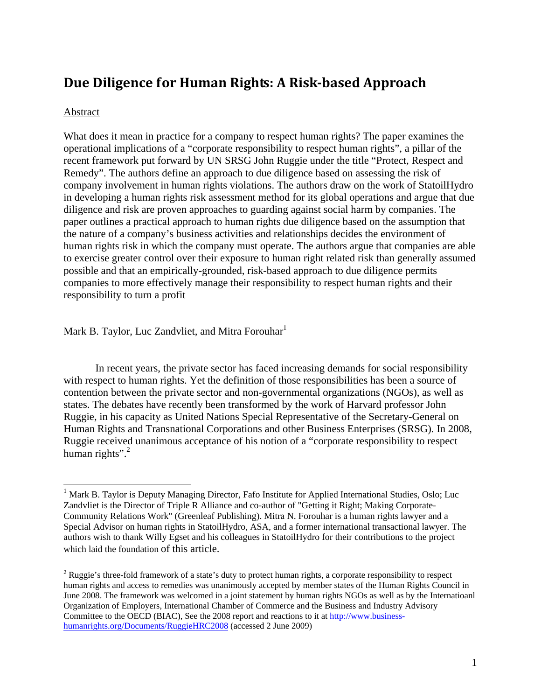# **Due Diligence for Human Rights: A Riskbased Approach**

#### Abstract

 $\overline{a}$ 

What does it mean in practice for a company to respect human rights? The paper examines the operational implications of a "corporate responsibility to respect human rights", a pillar of the recent framework put forward by UN SRSG John Ruggie under the title "Protect, Respect and Remedy". The authors define an approach to due diligence based on assessing the risk of company involvement in human rights violations. The authors draw on the work of StatoilHydro in developing a human rights risk assessment method for its global operations and argue that due diligence and risk are proven approaches to guarding against social harm by companies. The paper outlines a practical approach to human rights due diligence based on the assumption that the nature of a company's business activities and relationships decides the environment of human rights risk in which the company must operate. The authors argue that companies are able to exercise greater control over their exposure to human right related risk than generally assumed possible and that an empirically-grounded, risk-based approach to due diligence permits companies to more effectively manage their responsibility to respect human rights and their responsibility to turn a profit

Mark B. Taylor, Luc Zandvliet, and Mitra Forouhar<sup>1</sup>

In recent years, the private sector has faced increasing demands for social responsibility with respect to human rights. Yet the definition of those responsibilities has been a source of contention between the private sector and non-governmental organizations (NGOs), as well as states. The debates have recently been transformed by the work of Harvard professor John Ruggie, in his capacity as United Nations Special Representative of the Secretary-General on Human Rights and Transnational Corporations and other Business Enterprises (SRSG). In 2008, Ruggie received unanimous acceptance of his notion of a "corporate responsibility to respect human rights". $2$ 

<sup>&</sup>lt;sup>1</sup> Mark B. Taylor is Deputy Managing Director, Fafo Institute for Applied International Studies, Oslo; Luc Zandvliet is the Director of Triple R Alliance and co-author of "Getting it Right; Making Corporate-Community Relations Work" (Greenleaf Publishing). Mitra N. Forouhar is a human rights lawyer and a Special Advisor on human rights in StatoilHydro, ASA, and a former international transactional lawyer. The authors wish to thank Willy Egset and his colleagues in StatoilHydro for their contributions to the project which laid the foundation of this article.

<sup>&</sup>lt;sup>2</sup> Ruggie's three-fold framework of a state's duty to protect human rights, a corporate responsibility to respect human rights and access to remedies was unanimously accepted by member states of the Human Rights Council in June 2008. The framework was welcomed in a joint statement by human rights NGOs as well as by the Internatioanl Organization of Employers, International Chamber of Commerce and the Business and Industry Advisory Committee to the OECD (BIAC), See the 2008 report and reactions to it at http://www.businesshumanrights.org/Documents/RuggieHRC2008 (accessed 2 June 2009)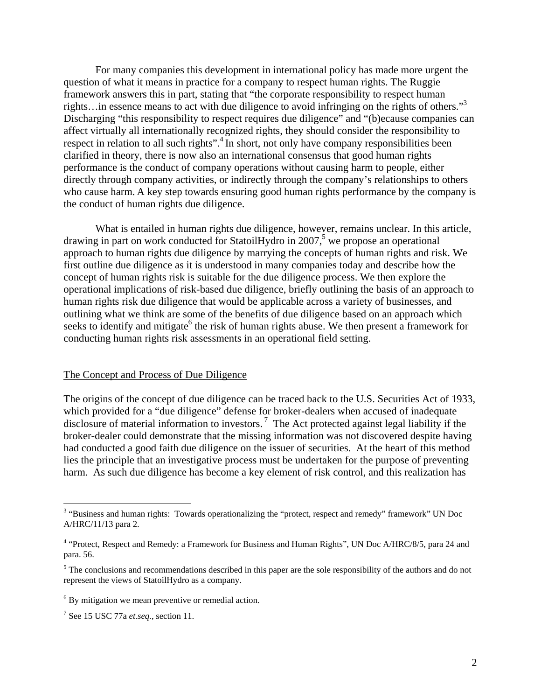For many companies this development in international policy has made more urgent the question of what it means in practice for a company to respect human rights. The Ruggie framework answers this in part, stating that "the corporate responsibility to respect human rights…in essence means to act with due diligence to avoid infringing on the rights of others."3 Discharging "this responsibility to respect requires due diligence" and "(b)ecause companies can affect virtually all internationally recognized rights, they should consider the responsibility to respect in relation to all such rights".<sup>4</sup> In short, not only have company responsibilities been clarified in theory, there is now also an international consensus that good human rights performance is the conduct of company operations without causing harm to people, either directly through company activities, or indirectly through the company's relationships to others who cause harm. A key step towards ensuring good human rights performance by the company is the conduct of human rights due diligence.

What is entailed in human rights due diligence, however, remains unclear. In this article, drawing in part on work conducted for Statoil Hydro in 2007,<sup>5</sup> we propose an operational approach to human rights due diligence by marrying the concepts of human rights and risk. We first outline due diligence as it is understood in many companies today and describe how the concept of human rights risk is suitable for the due diligence process. We then explore the operational implications of risk-based due diligence, briefly outlining the basis of an approach to human rights risk due diligence that would be applicable across a variety of businesses, and outlining what we think are some of the benefits of due diligence based on an approach which seeks to identify and mitigate<sup>6</sup> the risk of human rights abuse. We then present a framework for conducting human rights risk assessments in an operational field setting.

#### The Concept and Process of Due Diligence

The origins of the concept of due diligence can be traced back to the U.S. Securities Act of 1933, which provided for a "due diligence" defense for broker-dealers when accused of inadequate disclosure of material information to investors.<sup>7</sup> The Act protected against legal liability if the broker-dealer could demonstrate that the missing information was not discovered despite having had conducted a good faith due diligence on the issuer of securities. At the heart of this method lies the principle that an investigative process must be undertaken for the purpose of preventing harm. As such due diligence has become a key element of risk control, and this realization has

<sup>&</sup>lt;sup>3</sup> "Business and human rights: Towards operationalizing the "protect, respect and remedy" framework" UN Doc A/HRC/11/13 para 2.

<sup>&</sup>lt;sup>4</sup> "Protect, Respect and Remedy: a Framework for Business and Human Rights", UN Doc A/HRC/8/5, para 24 and para. 56.

<sup>&</sup>lt;sup>5</sup> The conclusions and recommendations described in this paper are the sole responsibility of the authors and do not represent the views of StatoilHydro as a company.

<sup>&</sup>lt;sup>6</sup> By mitigation we mean preventive or remedial action.

<sup>7</sup> See 15 USC 77a *et.seq.*, section 11.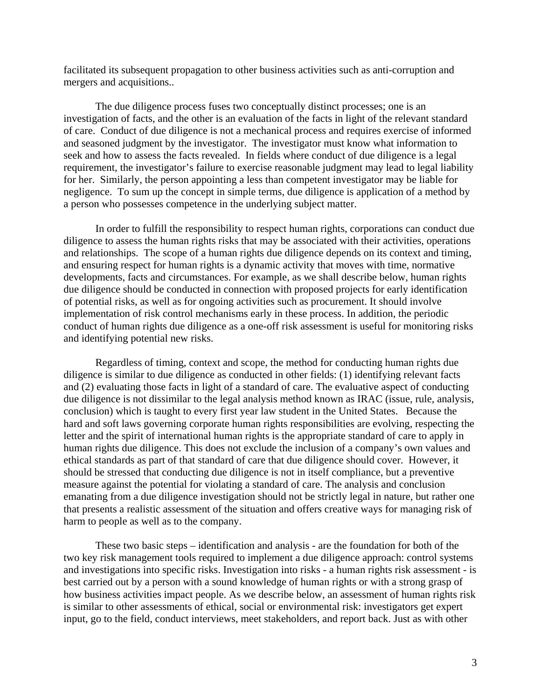facilitated its subsequent propagation to other business activities such as anti-corruption and mergers and acquisitions..

The due diligence process fuses two conceptually distinct processes; one is an investigation of facts, and the other is an evaluation of the facts in light of the relevant standard of care. Conduct of due diligence is not a mechanical process and requires exercise of informed and seasoned judgment by the investigator. The investigator must know what information to seek and how to assess the facts revealed. In fields where conduct of due diligence is a legal requirement, the investigator's failure to exercise reasonable judgment may lead to legal liability for her. Similarly, the person appointing a less than competent investigator may be liable for negligence. To sum up the concept in simple terms, due diligence is application of a method by a person who possesses competence in the underlying subject matter.

In order to fulfill the responsibility to respect human rights, corporations can conduct due diligence to assess the human rights risks that may be associated with their activities, operations and relationships. The scope of a human rights due diligence depends on its context and timing, and ensuring respect for human rights is a dynamic activity that moves with time, normative developments, facts and circumstances. For example, as we shall describe below, human rights due diligence should be conducted in connection with proposed projects for early identification of potential risks, as well as for ongoing activities such as procurement. It should involve implementation of risk control mechanisms early in these process. In addition, the periodic conduct of human rights due diligence as a one-off risk assessment is useful for monitoring risks and identifying potential new risks.

Regardless of timing, context and scope, the method for conducting human rights due diligence is similar to due diligence as conducted in other fields: (1) identifying relevant facts and (2) evaluating those facts in light of a standard of care. The evaluative aspect of conducting due diligence is not dissimilar to the legal analysis method known as IRAC (issue, rule, analysis, conclusion) which is taught to every first year law student in the United States. Because the hard and soft laws governing corporate human rights responsibilities are evolving, respecting the letter and the spirit of international human rights is the appropriate standard of care to apply in human rights due diligence. This does not exclude the inclusion of a company's own values and ethical standards as part of that standard of care that due diligence should cover. However, it should be stressed that conducting due diligence is not in itself compliance, but a preventive measure against the potential for violating a standard of care. The analysis and conclusion emanating from a due diligence investigation should not be strictly legal in nature, but rather one that presents a realistic assessment of the situation and offers creative ways for managing risk of harm to people as well as to the company.

These two basic steps – identification and analysis - are the foundation for both of the two key risk management tools required to implement a due diligence approach: control systems and investigations into specific risks. Investigation into risks - a human rights risk assessment - is best carried out by a person with a sound knowledge of human rights or with a strong grasp of how business activities impact people. As we describe below, an assessment of human rights risk is similar to other assessments of ethical, social or environmental risk: investigators get expert input, go to the field, conduct interviews, meet stakeholders, and report back. Just as with other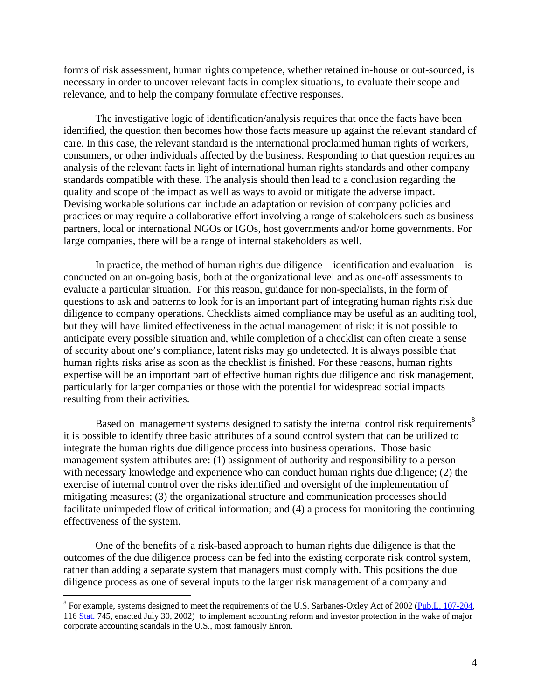forms of risk assessment, human rights competence, whether retained in-house or out-sourced, is necessary in order to uncover relevant facts in complex situations, to evaluate their scope and relevance, and to help the company formulate effective responses.

The investigative logic of identification/analysis requires that once the facts have been identified, the question then becomes how those facts measure up against the relevant standard of care. In this case, the relevant standard is the international proclaimed human rights of workers, consumers, or other individuals affected by the business. Responding to that question requires an analysis of the relevant facts in light of international human rights standards and other company standards compatible with these. The analysis should then lead to a conclusion regarding the quality and scope of the impact as well as ways to avoid or mitigate the adverse impact. Devising workable solutions can include an adaptation or revision of company policies and practices or may require a collaborative effort involving a range of stakeholders such as business partners, local or international NGOs or IGOs, host governments and/or home governments. For large companies, there will be a range of internal stakeholders as well.

In practice, the method of human rights due diligence – identification and evaluation – is conducted on an on-going basis, both at the organizational level and as one-off assessments to evaluate a particular situation. For this reason, guidance for non-specialists, in the form of questions to ask and patterns to look for is an important part of integrating human rights risk due diligence to company operations. Checklists aimed compliance may be useful as an auditing tool, but they will have limited effectiveness in the actual management of risk: it is not possible to anticipate every possible situation and, while completion of a checklist can often create a sense of security about one's compliance, latent risks may go undetected. It is always possible that human rights risks arise as soon as the checklist is finished. For these reasons, human rights expertise will be an important part of effective human rights due diligence and risk management, particularly for larger companies or those with the potential for widespread social impacts resulting from their activities.

Based on management systems designed to satisfy the internal control risk requirements<sup>8</sup> it is possible to identify three basic attributes of a sound control system that can be utilized to integrate the human rights due diligence process into business operations. Those basic management system attributes are: (1) assignment of authority and responsibility to a person with necessary knowledge and experience who can conduct human rights due diligence; (2) the exercise of internal control over the risks identified and oversight of the implementation of mitigating measures; (3) the organizational structure and communication processes should facilitate unimpeded flow of critical information; and (4) a process for monitoring the continuing effectiveness of the system.

One of the benefits of a risk-based approach to human rights due diligence is that the outcomes of the due diligence process can be fed into the existing corporate risk control system, rather than adding a separate system that managers must comply with. This positions the due diligence process as one of several inputs to the larger risk management of a company and

<sup>&</sup>lt;sup>8</sup> For example, systems designed to meet the requirements of the U.S. Sarbanes-Oxley Act of 2002 (Pub.L. 107-204, 116 Stat. 745, enacted July 30, 2002) to implement accounting reform and investor protection in the wake of major corporate accounting scandals in the U.S., most famously Enron.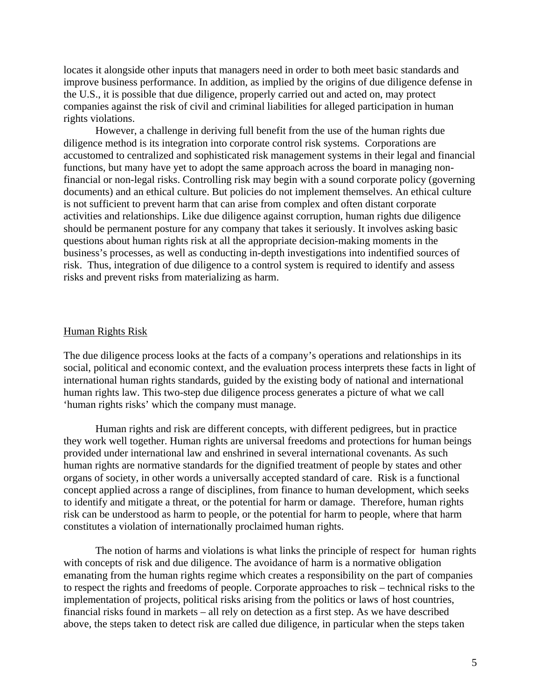locates it alongside other inputs that managers need in order to both meet basic standards and improve business performance. In addition, as implied by the origins of due diligence defense in the U.S., it is possible that due diligence, properly carried out and acted on, may protect companies against the risk of civil and criminal liabilities for alleged participation in human rights violations.

However, a challenge in deriving full benefit from the use of the human rights due diligence method is its integration into corporate control risk systems. Corporations are accustomed to centralized and sophisticated risk management systems in their legal and financial functions, but many have yet to adopt the same approach across the board in managing nonfinancial or non-legal risks. Controlling risk may begin with a sound corporate policy (governing documents) and an ethical culture. But policies do not implement themselves. An ethical culture is not sufficient to prevent harm that can arise from complex and often distant corporate activities and relationships. Like due diligence against corruption, human rights due diligence should be permanent posture for any company that takes it seriously. It involves asking basic questions about human rights risk at all the appropriate decision-making moments in the business's processes, as well as conducting in-depth investigations into indentified sources of risk. Thus, integration of due diligence to a control system is required to identify and assess risks and prevent risks from materializing as harm.

#### Human Rights Risk

The due diligence process looks at the facts of a company's operations and relationships in its social, political and economic context, and the evaluation process interprets these facts in light of international human rights standards, guided by the existing body of national and international human rights law. This two-step due diligence process generates a picture of what we call 'human rights risks' which the company must manage.

Human rights and risk are different concepts, with different pedigrees, but in practice they work well together. Human rights are universal freedoms and protections for human beings provided under international law and enshrined in several international covenants. As such human rights are normative standards for the dignified treatment of people by states and other organs of society, in other words a universally accepted standard of care. Risk is a functional concept applied across a range of disciplines, from finance to human development, which seeks to identify and mitigate a threat, or the potential for harm or damage. Therefore, human rights risk can be understood as harm to people, or the potential for harm to people, where that harm constitutes a violation of internationally proclaimed human rights.

The notion of harms and violations is what links the principle of respect for human rights with concepts of risk and due diligence. The avoidance of harm is a normative obligation emanating from the human rights regime which creates a responsibility on the part of companies to respect the rights and freedoms of people. Corporate approaches to risk – technical risks to the implementation of projects, political risks arising from the politics or laws of host countries, financial risks found in markets – all rely on detection as a first step. As we have described above, the steps taken to detect risk are called due diligence, in particular when the steps taken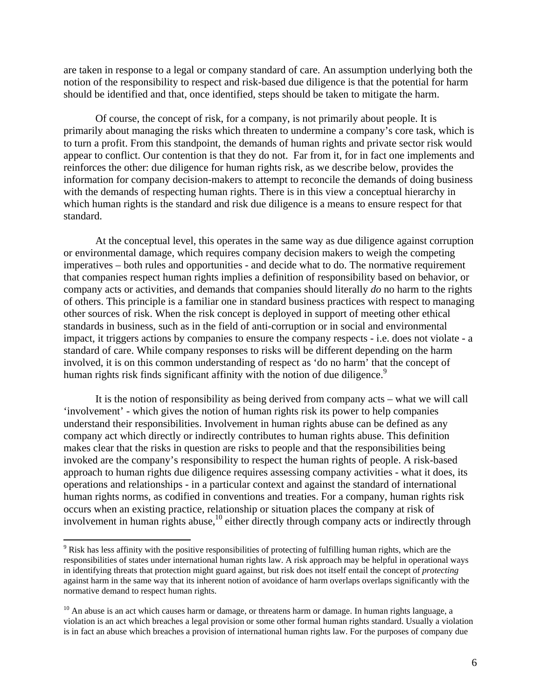are taken in response to a legal or company standard of care. An assumption underlying both the notion of the responsibility to respect and risk-based due diligence is that the potential for harm should be identified and that, once identified, steps should be taken to mitigate the harm.

Of course, the concept of risk, for a company, is not primarily about people. It is primarily about managing the risks which threaten to undermine a company's core task, which is to turn a profit. From this standpoint, the demands of human rights and private sector risk would appear to conflict. Our contention is that they do not. Far from it, for in fact one implements and reinforces the other: due diligence for human rights risk, as we describe below, provides the information for company decision-makers to attempt to reconcile the demands of doing business with the demands of respecting human rights. There is in this view a conceptual hierarchy in which human rights is the standard and risk due diligence is a means to ensure respect for that standard.

At the conceptual level, this operates in the same way as due diligence against corruption or environmental damage, which requires company decision makers to weigh the competing imperatives – both rules and opportunities - and decide what to do. The normative requirement that companies respect human rights implies a definition of responsibility based on behavior, or company acts or activities, and demands that companies should literally *do* no harm to the rights of others. This principle is a familiar one in standard business practices with respect to managing other sources of risk. When the risk concept is deployed in support of meeting other ethical standards in business, such as in the field of anti-corruption or in social and environmental impact, it triggers actions by companies to ensure the company respects - i.e. does not violate - a standard of care. While company responses to risks will be different depending on the harm involved, it is on this common understanding of respect as 'do no harm' that the concept of human rights risk finds significant affinity with the notion of due diligence.<sup>9</sup>

It is the notion of responsibility as being derived from company acts – what we will call 'involvement' - which gives the notion of human rights risk its power to help companies understand their responsibilities. Involvement in human rights abuse can be defined as any company act which directly or indirectly contributes to human rights abuse. This definition makes clear that the risks in question are risks to people and that the responsibilities being invoked are the company's responsibility to respect the human rights of people. A risk-based approach to human rights due diligence requires assessing company activities - what it does, its operations and relationships - in a particular context and against the standard of international human rights norms, as codified in conventions and treaties. For a company, human rights risk occurs when an existing practice, relationship or situation places the company at risk of involvement in human rights abuse,  $\frac{10}{10}$  either directly through company acts or indirectly through

<sup>&</sup>lt;sup>9</sup> Risk has less affinity with the positive responsibilities of protecting of fulfilling human rights, which are the responsibilities of states under international human rights law. A risk approach may be helpful in operational ways in identifying threats that protection might guard against, but risk does not itself entail the concept of *protecting* against harm in the same way that its inherent notion of avoidance of harm overlaps overlaps significantly with the normative demand to respect human rights.

 $10$  An abuse is an act which causes harm or damage, or threatens harm or damage. In human rights language, a violation is an act which breaches a legal provision or some other formal human rights standard. Usually a violation is in fact an abuse which breaches a provision of international human rights law. For the purposes of company due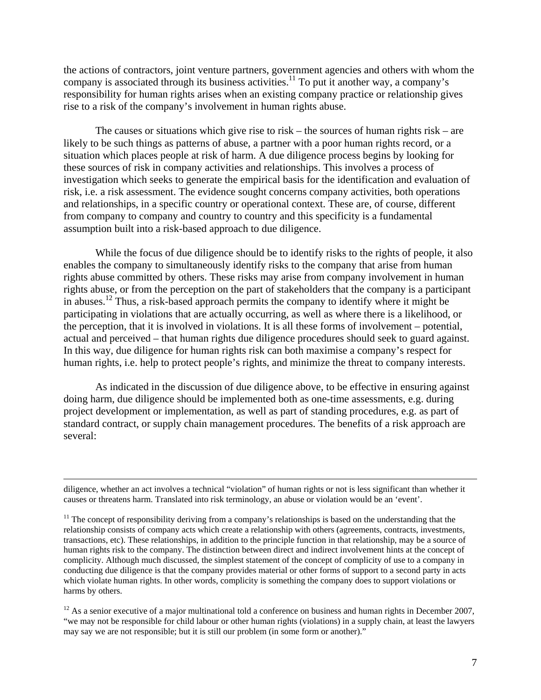the actions of contractors, joint venture partners, government agencies and others with whom the company is associated through its business activities.<sup>11</sup> To put it another way, a company's responsibility for human rights arises when an existing company practice or relationship gives rise to a risk of the company's involvement in human rights abuse.

The causes or situations which give rise to risk – the sources of human rights risk – are likely to be such things as patterns of abuse, a partner with a poor human rights record, or a situation which places people at risk of harm. A due diligence process begins by looking for these sources of risk in company activities and relationships. This involves a process of investigation which seeks to generate the empirical basis for the identification and evaluation of risk, i.e. a risk assessment. The evidence sought concerns company activities, both operations and relationships, in a specific country or operational context. These are, of course, different from company to company and country to country and this specificity is a fundamental assumption built into a risk-based approach to due diligence.

While the focus of due diligence should be to identify risks to the rights of people, it also enables the company to simultaneously identify risks to the company that arise from human rights abuse committed by others. These risks may arise from company involvement in human rights abuse, or from the perception on the part of stakeholders that the company is a participant in abuses.12 Thus, a risk-based approach permits the company to identify where it might be participating in violations that are actually occurring, as well as where there is a likelihood, or the perception, that it is involved in violations. It is all these forms of involvement – potential, actual and perceived – that human rights due diligence procedures should seek to guard against. In this way, due diligence for human rights risk can both maximise a company's respect for human rights, i.e. help to protect people's rights, and minimize the threat to company interests.

 As indicated in the discussion of due diligence above, to be effective in ensuring against doing harm, due diligence should be implemented both as one-time assessments, e.g. during project development or implementation, as well as part of standing procedures, e.g. as part of standard contract, or supply chain management procedures. The benefits of a risk approach are several:

diligence, whether an act involves a technical "violation" of human rights or not is less significant than whether it causes or threatens harm. Translated into risk terminology, an abuse or violation would be an 'event'.

 $11$  The concept of responsibility deriving from a company's relationships is based on the understanding that the relationship consists of company acts which create a relationship with others (agreements, contracts, investments, transactions, etc). These relationships, in addition to the principle function in that relationship, may be a source of human rights risk to the company. The distinction between direct and indirect involvement hints at the concept of complicity. Although much discussed, the simplest statement of the concept of complicity of use to a company in conducting due diligence is that the company provides material or other forms of support to a second party in acts which violate human rights. In other words, complicity is something the company does to support violations or harms by others.

 $12$  As a senior executive of a major multinational told a conference on business and human rights in December 2007, "we may not be responsible for child labour or other human rights (violations) in a supply chain, at least the lawyers may say we are not responsible; but it is still our problem (in some form or another)."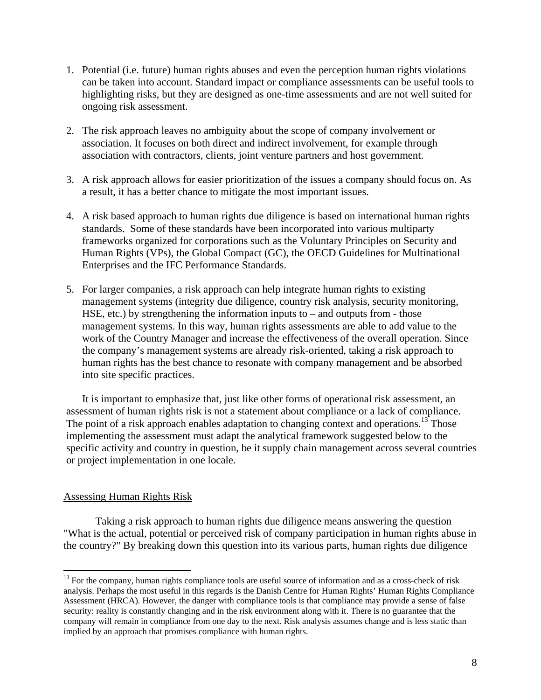- 1. Potential (i.e. future) human rights abuses and even the perception human rights violations can be taken into account. Standard impact or compliance assessments can be useful tools to highlighting risks, but they are designed as one-time assessments and are not well suited for ongoing risk assessment.
- 2. The risk approach leaves no ambiguity about the scope of company involvement or association. It focuses on both direct and indirect involvement, for example through association with contractors, clients, joint venture partners and host government.
- 3. A risk approach allows for easier prioritization of the issues a company should focus on. As a result, it has a better chance to mitigate the most important issues.
- 4. A risk based approach to human rights due diligence is based on international human rights standards. Some of these standards have been incorporated into various multiparty frameworks organized for corporations such as the Voluntary Principles on Security and Human Rights (VPs), the Global Compact (GC), the OECD Guidelines for Multinational Enterprises and the IFC Performance Standards.
- 5. For larger companies, a risk approach can help integrate human rights to existing management systems (integrity due diligence, country risk analysis, security monitoring, HSE, etc.) by strengthening the information inputs to  $-$  and outputs from  $-$  those management systems. In this way, human rights assessments are able to add value to the work of the Country Manager and increase the effectiveness of the overall operation. Since the company's management systems are already risk-oriented, taking a risk approach to human rights has the best chance to resonate with company management and be absorbed into site specific practices.

It is important to emphasize that, just like other forms of operational risk assessment, an assessment of human rights risk is not a statement about compliance or a lack of compliance. The point of a risk approach enables adaptation to changing context and operations.<sup>13</sup> Those implementing the assessment must adapt the analytical framework suggested below to the specific activity and country in question, be it supply chain management across several countries or project implementation in one locale.

#### Assessing Human Rights Risk

 $\overline{a}$ 

Taking a risk approach to human rights due diligence means answering the question "What is the actual, potential or perceived risk of company participation in human rights abuse in the country?" By breaking down this question into its various parts, human rights due diligence

<sup>&</sup>lt;sup>13</sup> For the company, human rights compliance tools are useful source of information and as a cross-check of risk analysis. Perhaps the most useful in this regards is the Danish Centre for Human Rights' Human Rights Compliance Assessment (HRCA). However, the danger with compliance tools is that compliance may provide a sense of false security: reality is constantly changing and in the risk environment along with it. There is no guarantee that the company will remain in compliance from one day to the next. Risk analysis assumes change and is less static than implied by an approach that promises compliance with human rights.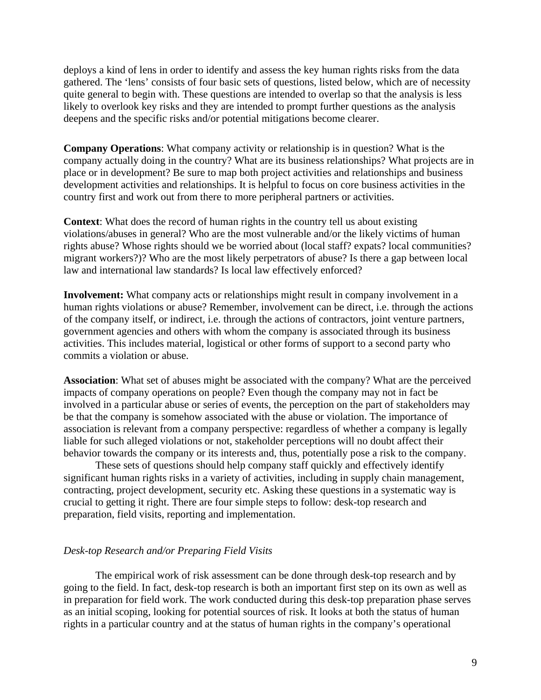deploys a kind of lens in order to identify and assess the key human rights risks from the data gathered. The 'lens' consists of four basic sets of questions, listed below, which are of necessity quite general to begin with. These questions are intended to overlap so that the analysis is less likely to overlook key risks and they are intended to prompt further questions as the analysis deepens and the specific risks and/or potential mitigations become clearer.

**Company Operations**: What company activity or relationship is in question? What is the company actually doing in the country? What are its business relationships? What projects are in place or in development? Be sure to map both project activities and relationships and business development activities and relationships. It is helpful to focus on core business activities in the country first and work out from there to more peripheral partners or activities.

**Context**: What does the record of human rights in the country tell us about existing violations/abuses in general? Who are the most vulnerable and/or the likely victims of human rights abuse? Whose rights should we be worried about (local staff? expats? local communities? migrant workers?)? Who are the most likely perpetrators of abuse? Is there a gap between local law and international law standards? Is local law effectively enforced?

**Involvement:** What company acts or relationships might result in company involvement in a human rights violations or abuse? Remember, involvement can be direct, i.e. through the actions of the company itself, or indirect, i.e. through the actions of contractors, joint venture partners, government agencies and others with whom the company is associated through its business activities. This includes material, logistical or other forms of support to a second party who commits a violation or abuse.

**Association**: What set of abuses might be associated with the company? What are the perceived impacts of company operations on people? Even though the company may not in fact be involved in a particular abuse or series of events, the perception on the part of stakeholders may be that the company is somehow associated with the abuse or violation. The importance of association is relevant from a company perspective: regardless of whether a company is legally liable for such alleged violations or not, stakeholder perceptions will no doubt affect their behavior towards the company or its interests and, thus, potentially pose a risk to the company.

These sets of questions should help company staff quickly and effectively identify significant human rights risks in a variety of activities, including in supply chain management, contracting, project development, security etc. Asking these questions in a systematic way is crucial to getting it right. There are four simple steps to follow: desk-top research and preparation, field visits, reporting and implementation.

#### *Desk-top Research and/or Preparing Field Visits*

The empirical work of risk assessment can be done through desk-top research and by going to the field. In fact, desk-top research is both an important first step on its own as well as in preparation for field work. The work conducted during this desk-top preparation phase serves as an initial scoping, looking for potential sources of risk. It looks at both the status of human rights in a particular country and at the status of human rights in the company's operational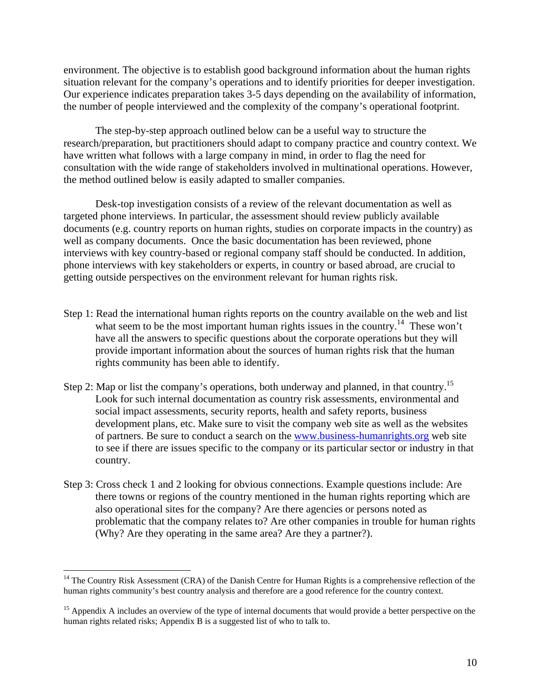environment. The objective is to establish good background information about the human rights situation relevant for the company's operations and to identify priorities for deeper investigation. Our experience indicates preparation takes 3-5 days depending on the availability of information, the number of people interviewed and the complexity of the company's operational footprint.

The step-by-step approach outlined below can be a useful way to structure the research/preparation, but practitioners should adapt to company practice and country context. We have written what follows with a large company in mind, in order to flag the need for consultation with the wide range of stakeholders involved in multinational operations. However, the method outlined below is easily adapted to smaller companies.

Desk-top investigation consists of a review of the relevant documentation as well as targeted phone interviews. In particular, the assessment should review publicly available documents (e.g. country reports on human rights, studies on corporate impacts in the country) as well as company documents. Once the basic documentation has been reviewed, phone interviews with key country-based or regional company staff should be conducted. In addition, phone interviews with key stakeholders or experts, in country or based abroad, are crucial to getting outside perspectives on the environment relevant for human rights risk.

- Step 1: Read the international human rights reports on the country available on the web and list what seem to be the most important human rights issues in the country.<sup>14</sup> These won't have all the answers to specific questions about the corporate operations but they will provide important information about the sources of human rights risk that the human rights community has been able to identify.
- Step 2: Map or list the company's operations, both underway and planned, in that country.<sup>15</sup> Look for such internal documentation as country risk assessments, environmental and social impact assessments, security reports, health and safety reports, business development plans, etc. Make sure to visit the company web site as well as the websites of partners. Be sure to conduct a search on the www.business-humanrights.org web site to see if there are issues specific to the company or its particular sector or industry in that country.
- Step 3: Cross check 1 and 2 looking for obvious connections. Example questions include: Are there towns or regions of the country mentioned in the human rights reporting which are also operational sites for the company? Are there agencies or persons noted as problematic that the company relates to? Are other companies in trouble for human rights (Why? Are they operating in the same area? Are they a partner?).

 $14$  The Country Risk Assessment (CRA) of the Danish Centre for Human Rights is a comprehensive reflection of the human rights community's best country analysis and therefore are a good reference for the country context.

<sup>&</sup>lt;sup>15</sup> Appendix A includes an overview of the type of internal documents that would provide a better perspective on the human rights related risks; Appendix B is a suggested list of who to talk to.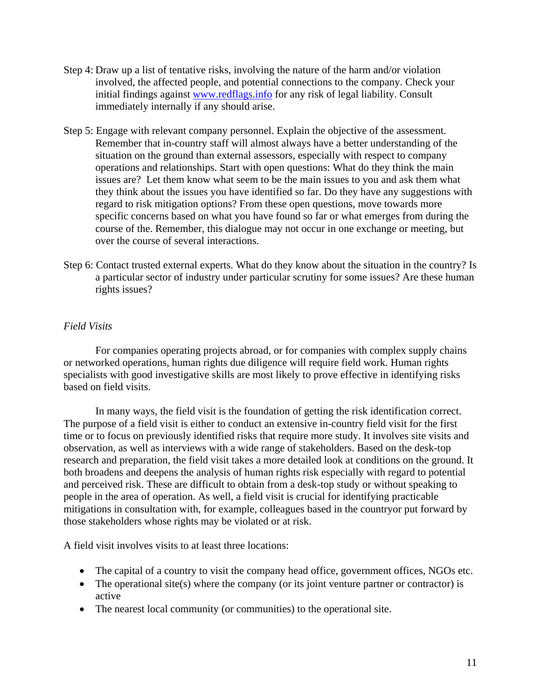- Step 4: Draw up a list of tentative risks, involving the nature of the harm and/or violation involved, the affected people, and potential connections to the company. Check your initial findings against www.redflags.info for any risk of legal liability. Consult immediately internally if any should arise.
- Step 5: Engage with relevant company personnel. Explain the objective of the assessment. Remember that in-country staff will almost always have a better understanding of the situation on the ground than external assessors, especially with respect to company operations and relationships. Start with open questions: What do they think the main issues are? Let them know what seem to be the main issues to you and ask them what they think about the issues you have identified so far. Do they have any suggestions with regard to risk mitigation options? From these open questions, move towards more specific concerns based on what you have found so far or what emerges from during the course of the. Remember, this dialogue may not occur in one exchange or meeting, but over the course of several interactions.
- Step 6: Contact trusted external experts. What do they know about the situation in the country? Is a particular sector of industry under particular scrutiny for some issues? Are these human rights issues?

## *Field Visits*

For companies operating projects abroad, or for companies with complex supply chains or networked operations, human rights due diligence will require field work. Human rights specialists with good investigative skills are most likely to prove effective in identifying risks based on field visits.

In many ways, the field visit is the foundation of getting the risk identification correct. The purpose of a field visit is either to conduct an extensive in-country field visit for the first time or to focus on previously identified risks that require more study. It involves site visits and observation, as well as interviews with a wide range of stakeholders. Based on the desk-top research and preparation, the field visit takes a more detailed look at conditions on the ground. It both broadens and deepens the analysis of human rights risk especially with regard to potential and perceived risk. These are difficult to obtain from a desk-top study or without speaking to people in the area of operation. As well, a field visit is crucial for identifying practicable mitigations in consultation with, for example, colleagues based in the countryor put forward by those stakeholders whose rights may be violated or at risk.

A field visit involves visits to at least three locations:

- The capital of a country to visit the company head office, government offices, NGOs etc.
- The operational site(s) where the company (or its joint venture partner or contractor) is active
- The nearest local community (or communities) to the operational site.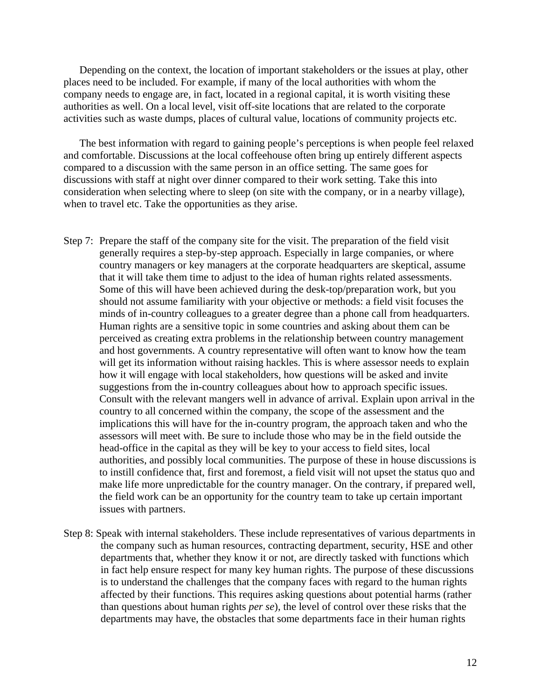Depending on the context, the location of important stakeholders or the issues at play, other places need to be included. For example, if many of the local authorities with whom the company needs to engage are, in fact, located in a regional capital, it is worth visiting these authorities as well. On a local level, visit off-site locations that are related to the corporate activities such as waste dumps, places of cultural value, locations of community projects etc.

The best information with regard to gaining people's perceptions is when people feel relaxed and comfortable. Discussions at the local coffeehouse often bring up entirely different aspects compared to a discussion with the same person in an office setting. The same goes for discussions with staff at night over dinner compared to their work setting. Take this into consideration when selecting where to sleep (on site with the company, or in a nearby village), when to travel etc. Take the opportunities as they arise.

- Step 7: Prepare the staff of the company site for the visit. The preparation of the field visit generally requires a step-by-step approach. Especially in large companies, or where country managers or key managers at the corporate headquarters are skeptical, assume that it will take them time to adjust to the idea of human rights related assessments. Some of this will have been achieved during the desk-top/preparation work, but you should not assume familiarity with your objective or methods: a field visit focuses the minds of in-country colleagues to a greater degree than a phone call from headquarters. Human rights are a sensitive topic in some countries and asking about them can be perceived as creating extra problems in the relationship between country management and host governments. A country representative will often want to know how the team will get its information without raising hackles. This is where assessor needs to explain how it will engage with local stakeholders, how questions will be asked and invite suggestions from the in-country colleagues about how to approach specific issues. Consult with the relevant mangers well in advance of arrival. Explain upon arrival in the country to all concerned within the company, the scope of the assessment and the implications this will have for the in-country program, the approach taken and who the assessors will meet with. Be sure to include those who may be in the field outside the head-office in the capital as they will be key to your access to field sites, local authorities, and possibly local communities. The purpose of these in house discussions is to instill confidence that, first and foremost, a field visit will not upset the status quo and make life more unpredictable for the country manager. On the contrary, if prepared well, the field work can be an opportunity for the country team to take up certain important issues with partners.
- Step 8: Speak with internal stakeholders. These include representatives of various departments in the company such as human resources, contracting department, security, HSE and other departments that, whether they know it or not, are directly tasked with functions which in fact help ensure respect for many key human rights. The purpose of these discussions is to understand the challenges that the company faces with regard to the human rights affected by their functions. This requires asking questions about potential harms (rather than questions about human rights *per se*), the level of control over these risks that the departments may have, the obstacles that some departments face in their human rights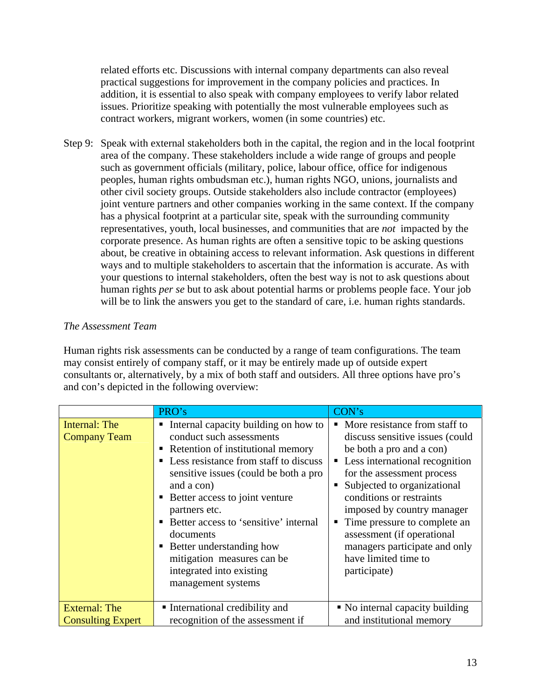related efforts etc. Discussions with internal company departments can also reveal practical suggestions for improvement in the company policies and practices. In addition, it is essential to also speak with company employees to verify labor related issues. Prioritize speaking with potentially the most vulnerable employees such as contract workers, migrant workers, women (in some countries) etc.

Step 9: Speak with external stakeholders both in the capital, the region and in the local footprint area of the company. These stakeholders include a wide range of groups and people such as government officials (military, police, labour office, office for indigenous peoples, human rights ombudsman etc.), human rights NGO, unions, journalists and other civil society groups. Outside stakeholders also include contractor (employees) joint venture partners and other companies working in the same context. If the company has a physical footprint at a particular site, speak with the surrounding community representatives, youth, local businesses, and communities that are *not* impacted by the corporate presence. As human rights are often a sensitive topic to be asking questions about, be creative in obtaining access to relevant information. Ask questions in different ways and to multiple stakeholders to ascertain that the information is accurate. As with your questions to internal stakeholders, often the best way is not to ask questions about human rights *per se* but to ask about potential harms or problems people face. Your job will be to link the answers you get to the standard of care, i.e. human rights standards.

#### *The Assessment Team*

Human rights risk assessments can be conducted by a range of team configurations. The team may consist entirely of company staff, or it may be entirely made up of outside expert consultants or, alternatively, by a mix of both staff and outsiders. All three options have pro's and con's depicted in the following overview:

|                                                  | PRO's                                                                                                                                                                                                                                                                                                                                                                                                                              | CON's                                                                                                                                                                                                                                                                                                                                                                                            |
|--------------------------------------------------|------------------------------------------------------------------------------------------------------------------------------------------------------------------------------------------------------------------------------------------------------------------------------------------------------------------------------------------------------------------------------------------------------------------------------------|--------------------------------------------------------------------------------------------------------------------------------------------------------------------------------------------------------------------------------------------------------------------------------------------------------------------------------------------------------------------------------------------------|
| Internal: The<br><b>Company Team</b>             | Internal capacity building on how to<br>conduct such assessments<br>• Retention of institutional memory<br>• Less resistance from staff to discuss<br>sensitive issues (could be both a pro<br>and a con)<br>• Better access to joint venture<br>partners etc.<br>Better access to 'sensitive' internal<br>documents<br>• Better understanding how<br>mitigation measures can be<br>integrated into existing<br>management systems | • More resistance from staff to<br>discuss sensitive issues (could<br>be both a pro and a con)<br>• Less international recognition<br>for the assessment process<br>Subjected to organizational<br>conditions or restraints<br>imposed by country manager<br>Time pressure to complete an<br>assessment (if operational<br>managers participate and only<br>have limited time to<br>participate) |
| <b>External: The</b><br><b>Consulting Expert</b> | • International credibility and<br>recognition of the assessment if                                                                                                                                                                                                                                                                                                                                                                | • No internal capacity building<br>and institutional memory                                                                                                                                                                                                                                                                                                                                      |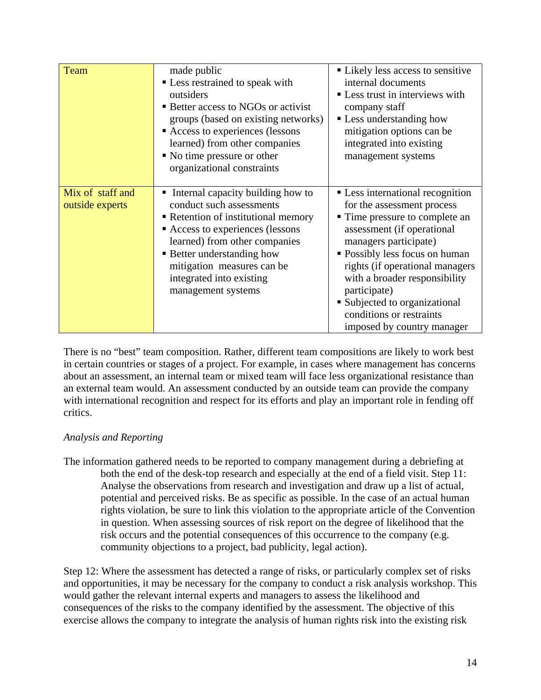| <b>Team</b>                         | made public<br>• Less restrained to speak with<br>outsiders<br>■ Better access to NGOs or activist<br>groups (based on existing networks)<br>Access to experiences (lessons<br>learned) from other companies<br>• No time pressure or other<br>organizational constraints             | • Likely less access to sensitive<br>internal documents<br>• Less trust in interviews with<br>company staff<br><b>Less understanding how</b><br>mitigation options can be<br>integrated into existing<br>management systems                                                                                                                                            |
|-------------------------------------|---------------------------------------------------------------------------------------------------------------------------------------------------------------------------------------------------------------------------------------------------------------------------------------|------------------------------------------------------------------------------------------------------------------------------------------------------------------------------------------------------------------------------------------------------------------------------------------------------------------------------------------------------------------------|
| Mix of staff and<br>outside experts | Internal capacity building how to<br>conduct such assessments<br>• Retention of institutional memory<br>Access to experiences (lessons<br>learned) from other companies<br>• Better understanding how<br>mitigation measures can be<br>integrated into existing<br>management systems | • Less international recognition<br>for the assessment process<br>• Time pressure to complete an<br>assessment (if operational<br>managers participate)<br>• Possibly less focus on human<br>rights (if operational managers<br>with a broader responsibility<br>participate)<br>Subjected to organizational<br>conditions or restraints<br>imposed by country manager |

There is no "best" team composition. Rather, different team compositions are likely to work best in certain countries or stages of a project. For example, in cases where management has concerns about an assessment, an internal team or mixed team will face less organizational resistance than an external team would. An assessment conducted by an outside team can provide the company with international recognition and respect for its efforts and play an important role in fending off critics.

## *Analysis and Reporting*

The information gathered needs to be reported to company management during a debriefing at both the end of the desk-top research and especially at the end of a field visit. Step 11: Analyse the observations from research and investigation and draw up a list of actual, potential and perceived risks. Be as specific as possible. In the case of an actual human rights violation, be sure to link this violation to the appropriate article of the Convention in question. When assessing sources of risk report on the degree of likelihood that the risk occurs and the potential consequences of this occurrence to the company (e.g. community objections to a project, bad publicity, legal action).

Step 12: Where the assessment has detected a range of risks, or particularly complex set of risks and opportunities, it may be necessary for the company to conduct a risk analysis workshop. This would gather the relevant internal experts and managers to assess the likelihood and consequences of the risks to the company identified by the assessment. The objective of this exercise allows the company to integrate the analysis of human rights risk into the existing risk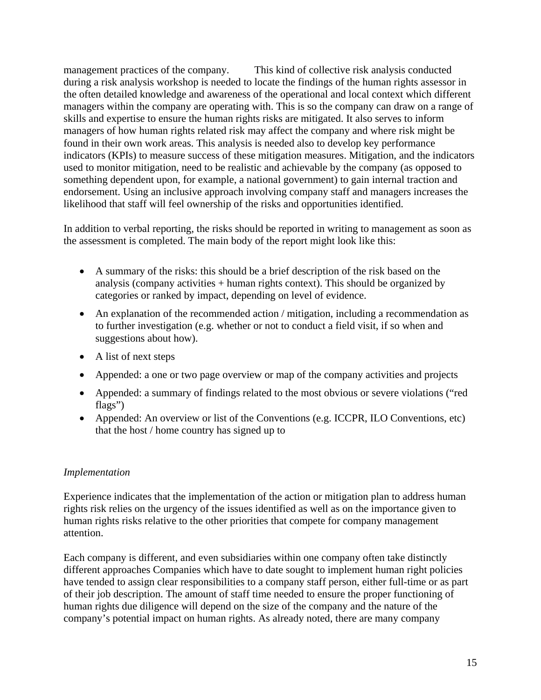management practices of the company. This kind of collective risk analysis conducted during a risk analysis workshop is needed to locate the findings of the human rights assessor in the often detailed knowledge and awareness of the operational and local context which different managers within the company are operating with. This is so the company can draw on a range of skills and expertise to ensure the human rights risks are mitigated. It also serves to inform managers of how human rights related risk may affect the company and where risk might be found in their own work areas. This analysis is needed also to develop key performance indicators (KPIs) to measure success of these mitigation measures. Mitigation, and the indicators used to monitor mitigation, need to be realistic and achievable by the company (as opposed to something dependent upon, for example, a national government) to gain internal traction and endorsement. Using an inclusive approach involving company staff and managers increases the likelihood that staff will feel ownership of the risks and opportunities identified.

In addition to verbal reporting, the risks should be reported in writing to management as soon as the assessment is completed. The main body of the report might look like this:

- A summary of the risks: this should be a brief description of the risk based on the analysis (company activities + human rights context). This should be organized by categories or ranked by impact, depending on level of evidence.
- An explanation of the recommended action / mitigation, including a recommendation as to further investigation (e.g. whether or not to conduct a field visit, if so when and suggestions about how).
- A list of next steps
- Appended: a one or two page overview or map of the company activities and projects
- Appended: a summary of findings related to the most obvious or severe violations ("red flags")
- Appended: An overview or list of the Conventions (e.g. ICCPR, ILO Conventions, etc) that the host / home country has signed up to

## *Implementation*

Experience indicates that the implementation of the action or mitigation plan to address human rights risk relies on the urgency of the issues identified as well as on the importance given to human rights risks relative to the other priorities that compete for company management attention.

Each company is different, and even subsidiaries within one company often take distinctly different approaches Companies which have to date sought to implement human right policies have tended to assign clear responsibilities to a company staff person, either full-time or as part of their job description. The amount of staff time needed to ensure the proper functioning of human rights due diligence will depend on the size of the company and the nature of the company's potential impact on human rights. As already noted, there are many company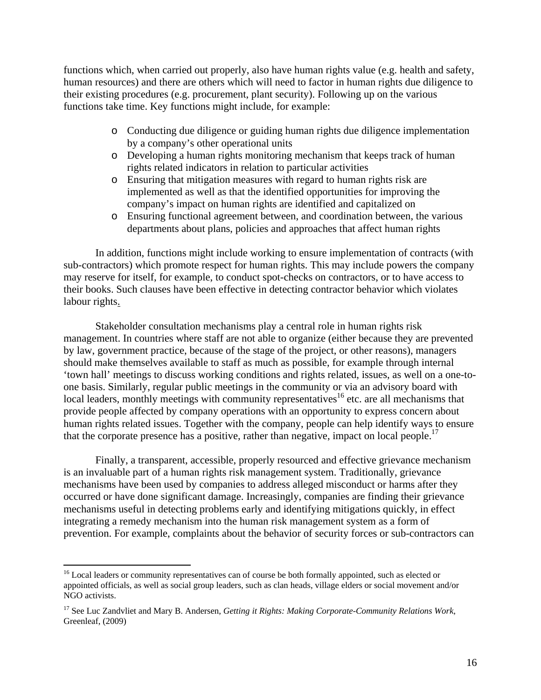functions which, when carried out properly, also have human rights value (e.g. health and safety, human resources) and there are others which will need to factor in human rights due diligence to their existing procedures (e.g. procurement, plant security). Following up on the various functions take time. Key functions might include, for example:

- o Conducting due diligence or guiding human rights due diligence implementation by a company's other operational units
- o Developing a human rights monitoring mechanism that keeps track of human rights related indicators in relation to particular activities
- o Ensuring that mitigation measures with regard to human rights risk are implemented as well as that the identified opportunities for improving the company's impact on human rights are identified and capitalized on
- o Ensuring functional agreement between, and coordination between, the various departments about plans, policies and approaches that affect human rights

In addition, functions might include working to ensure implementation of contracts (with sub-contractors) which promote respect for human rights. This may include powers the company may reserve for itself, for example, to conduct spot-checks on contractors, or to have access to their books. Such clauses have been effective in detecting contractor behavior which violates labour rights.

Stakeholder consultation mechanisms play a central role in human rights risk management. In countries where staff are not able to organize (either because they are prevented by law, government practice, because of the stage of the project, or other reasons), managers should make themselves available to staff as much as possible, for example through internal 'town hall' meetings to discuss working conditions and rights related, issues, as well on a one-toone basis. Similarly, regular public meetings in the community or via an advisory board with local leaders, monthly meetings with community representatives<sup>16</sup> etc. are all mechanisms that provide people affected by company operations with an opportunity to express concern about human rights related issues. Together with the company, people can help identify ways to ensure that the corporate presence has a positive, rather than negative, impact on local people.<sup>17</sup>

Finally, a transparent, accessible, properly resourced and effective grievance mechanism is an invaluable part of a human rights risk management system. Traditionally, grievance mechanisms have been used by companies to address alleged misconduct or harms after they occurred or have done significant damage. Increasingly, companies are finding their grievance mechanisms useful in detecting problems early and identifying mitigations quickly, in effect integrating a remedy mechanism into the human risk management system as a form of prevention. For example, complaints about the behavior of security forces or sub-contractors can

1

<sup>&</sup>lt;sup>16</sup> Local leaders or community representatives can of course be both formally appointed, such as elected or appointed officials, as well as social group leaders, such as clan heads, village elders or social movement and/or NGO activists.

<sup>17</sup> See Luc Zandvliet and Mary B. Andersen, *Getting it Rights: Making Corporate-Community Relations Work*, Greenleaf, (2009)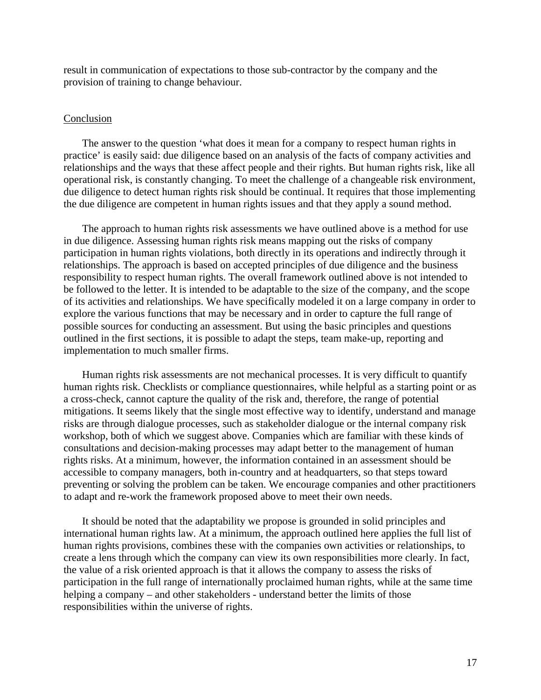result in communication of expectations to those sub-contractor by the company and the provision of training to change behaviour.

#### Conclusion

The answer to the question 'what does it mean for a company to respect human rights in practice' is easily said: due diligence based on an analysis of the facts of company activities and relationships and the ways that these affect people and their rights. But human rights risk, like all operational risk, is constantly changing. To meet the challenge of a changeable risk environment, due diligence to detect human rights risk should be continual. It requires that those implementing the due diligence are competent in human rights issues and that they apply a sound method.

The approach to human rights risk assessments we have outlined above is a method for use in due diligence. Assessing human rights risk means mapping out the risks of company participation in human rights violations, both directly in its operations and indirectly through it relationships. The approach is based on accepted principles of due diligence and the business responsibility to respect human rights. The overall framework outlined above is not intended to be followed to the letter. It is intended to be adaptable to the size of the company, and the scope of its activities and relationships. We have specifically modeled it on a large company in order to explore the various functions that may be necessary and in order to capture the full range of possible sources for conducting an assessment. But using the basic principles and questions outlined in the first sections, it is possible to adapt the steps, team make-up, reporting and implementation to much smaller firms.

Human rights risk assessments are not mechanical processes. It is very difficult to quantify human rights risk. Checklists or compliance questionnaires, while helpful as a starting point or as a cross-check, cannot capture the quality of the risk and, therefore, the range of potential mitigations. It seems likely that the single most effective way to identify, understand and manage risks are through dialogue processes, such as stakeholder dialogue or the internal company risk workshop, both of which we suggest above. Companies which are familiar with these kinds of consultations and decision-making processes may adapt better to the management of human rights risks. At a minimum, however, the information contained in an assessment should be accessible to company managers, both in-country and at headquarters, so that steps toward preventing or solving the problem can be taken. We encourage companies and other practitioners to adapt and re-work the framework proposed above to meet their own needs.

It should be noted that the adaptability we propose is grounded in solid principles and international human rights law. At a minimum, the approach outlined here applies the full list of human rights provisions, combines these with the companies own activities or relationships, to create a lens through which the company can view its own responsibilities more clearly. In fact, the value of a risk oriented approach is that it allows the company to assess the risks of participation in the full range of internationally proclaimed human rights, while at the same time helping a company – and other stakeholders - understand better the limits of those responsibilities within the universe of rights.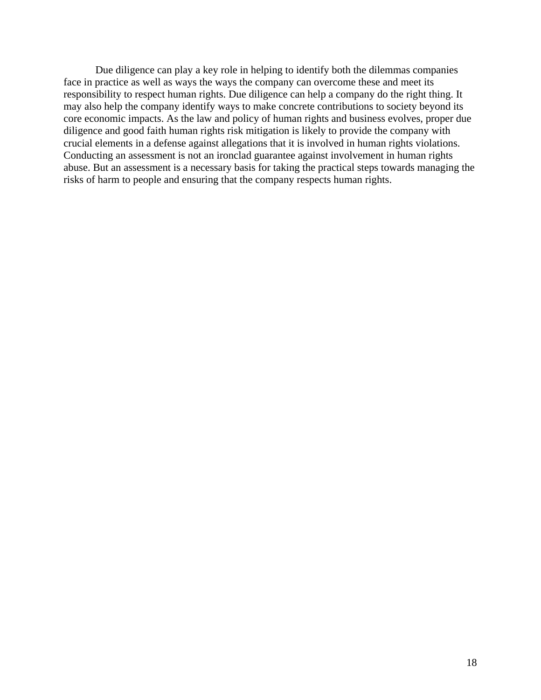Due diligence can play a key role in helping to identify both the dilemmas companies face in practice as well as ways the ways the company can overcome these and meet its responsibility to respect human rights. Due diligence can help a company do the right thing. It may also help the company identify ways to make concrete contributions to society beyond its core economic impacts. As the law and policy of human rights and business evolves, proper due diligence and good faith human rights risk mitigation is likely to provide the company with crucial elements in a defense against allegations that it is involved in human rights violations. Conducting an assessment is not an ironclad guarantee against involvement in human rights abuse. But an assessment is a necessary basis for taking the practical steps towards managing the risks of harm to people and ensuring that the company respects human rights.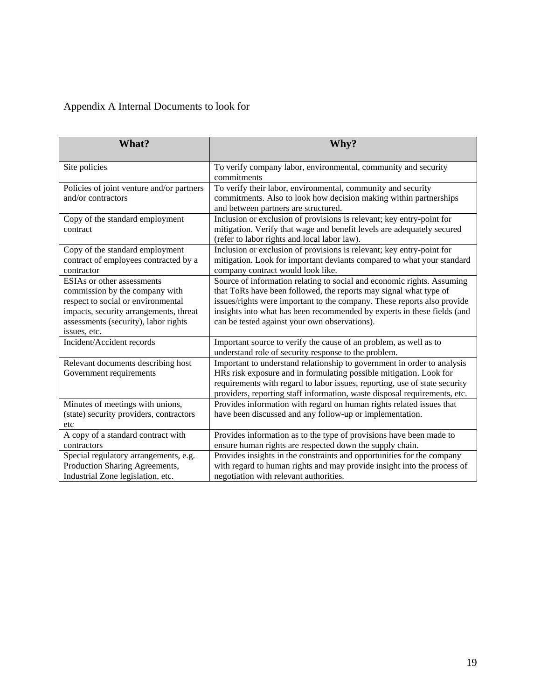# Appendix A Internal Documents to look for

| What?                                                                                                                                                                                                | Why?                                                                                                                                                                                                                                                                                                                                               |
|------------------------------------------------------------------------------------------------------------------------------------------------------------------------------------------------------|----------------------------------------------------------------------------------------------------------------------------------------------------------------------------------------------------------------------------------------------------------------------------------------------------------------------------------------------------|
| Site policies                                                                                                                                                                                        | To verify company labor, environmental, community and security<br>commitments                                                                                                                                                                                                                                                                      |
| Policies of joint venture and/or partners<br>and/or contractors                                                                                                                                      | To verify their labor, environmental, community and security<br>commitments. Also to look how decision making within partnerships<br>and between partners are structured.                                                                                                                                                                          |
| Copy of the standard employment<br>contract                                                                                                                                                          | Inclusion or exclusion of provisions is relevant; key entry-point for<br>mitigation. Verify that wage and benefit levels are adequately secured<br>(refer to labor rights and local labor law).                                                                                                                                                    |
| Copy of the standard employment<br>contract of employees contracted by a<br>contractor                                                                                                               | Inclusion or exclusion of provisions is relevant; key entry-point for<br>mitigation. Look for important deviants compared to what your standard<br>company contract would look like.                                                                                                                                                               |
| ESIAs or other assessments<br>commission by the company with<br>respect to social or environmental<br>impacts, security arrangements, threat<br>assessments (security), labor rights<br>issues, etc. | Source of information relating to social and economic rights. Assuming<br>that ToRs have been followed, the reports may signal what type of<br>issues/rights were important to the company. These reports also provide<br>insights into what has been recommended by experts in these fields (and<br>can be tested against your own observations). |
| Incident/Accident records                                                                                                                                                                            | Important source to verify the cause of an problem, as well as to<br>understand role of security response to the problem.                                                                                                                                                                                                                          |
| Relevant documents describing host<br>Government requirements                                                                                                                                        | Important to understand relationship to government in order to analysis<br>HRs risk exposure and in formulating possible mitigation. Look for<br>requirements with regard to labor issues, reporting, use of state security<br>providers, reporting staff information, waste disposal requirements, etc.                                           |
| Minutes of meetings with unions,<br>(state) security providers, contractors<br>etc                                                                                                                   | Provides information with regard on human rights related issues that<br>have been discussed and any follow-up or implementation.                                                                                                                                                                                                                   |
| A copy of a standard contract with<br>contractors                                                                                                                                                    | Provides information as to the type of provisions have been made to<br>ensure human rights are respected down the supply chain.                                                                                                                                                                                                                    |
| Special regulatory arrangements, e.g.<br>Production Sharing Agreements,<br>Industrial Zone legislation, etc.                                                                                         | Provides insights in the constraints and opportunities for the company<br>with regard to human rights and may provide insight into the process of<br>negotiation with relevant authorities.                                                                                                                                                        |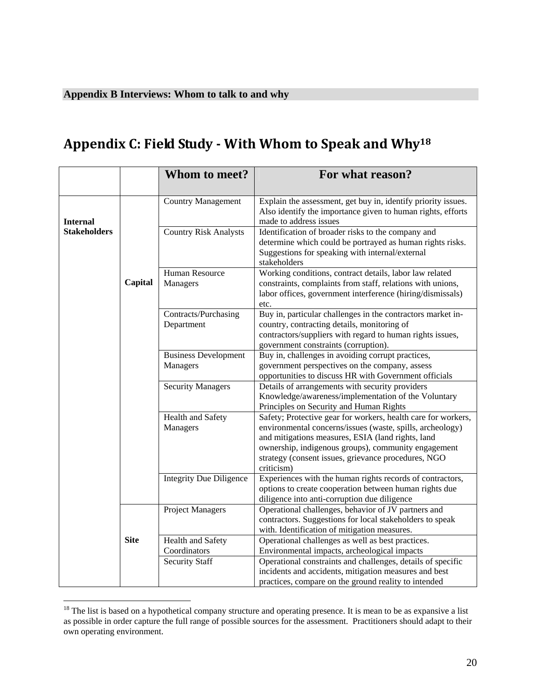# **Appendix C: Field Study With Whom to Speak and Why18**

|                     |             | Whom to meet?                           | For what reason?                                                                                                                                                                                                                                                                                            |
|---------------------|-------------|-----------------------------------------|-------------------------------------------------------------------------------------------------------------------------------------------------------------------------------------------------------------------------------------------------------------------------------------------------------------|
| <b>Internal</b>     |             | <b>Country Management</b>               | Explain the assessment, get buy in, identify priority issues.<br>Also identify the importance given to human rights, efforts<br>made to address issues                                                                                                                                                      |
| <b>Stakeholders</b> |             | <b>Country Risk Analysts</b>            | Identification of broader risks to the company and<br>determine which could be portrayed as human rights risks.<br>Suggestions for speaking with internal/external<br>stakeholders                                                                                                                          |
|                     | Capital     | Human Resource<br>Managers              | Working conditions, contract details, labor law related<br>constraints, complaints from staff, relations with unions,<br>labor offices, government interference (hiring/dismissals)<br>etc.                                                                                                                 |
|                     |             | Contracts/Purchasing<br>Department      | Buy in, particular challenges in the contractors market in-<br>country, contracting details, monitoring of<br>contractors/suppliers with regard to human rights issues,<br>government constraints (corruption).                                                                                             |
|                     |             | <b>Business Development</b><br>Managers | Buy in, challenges in avoiding corrupt practices,<br>government perspectives on the company, assess<br>opportunities to discuss HR with Government officials                                                                                                                                                |
|                     |             | <b>Security Managers</b>                | Details of arrangements with security providers<br>Knowledge/awareness/implementation of the Voluntary<br>Principles on Security and Human Rights                                                                                                                                                           |
|                     |             | Health and Safety<br>Managers           | Safety; Protective gear for workers, health care for workers,<br>environmental concerns/issues (waste, spills, archeology)<br>and mitigations measures, ESIA (land rights, land<br>ownership, indigenous groups), community engagement<br>strategy (consent issues, grievance procedures, NGO<br>criticism) |
|                     |             | <b>Integrity Due Diligence</b>          | Experiences with the human rights records of contractors,<br>options to create cooperation between human rights due<br>diligence into anti-corruption due diligence                                                                                                                                         |
|                     |             | Project Managers                        | Operational challenges, behavior of JV partners and<br>contractors. Suggestions for local stakeholders to speak<br>with. Identification of mitigation measures.                                                                                                                                             |
|                     | <b>Site</b> | Health and Safety<br>Coordinators       | Operational challenges as well as best practices.<br>Environmental impacts, archeological impacts                                                                                                                                                                                                           |
|                     |             | <b>Security Staff</b>                   | Operational constraints and challenges, details of specific<br>incidents and accidents, mitigation measures and best<br>practices, compare on the ground reality to intended                                                                                                                                |

 $18$  The list is based on a hypothetical company structure and operating presence. It is mean to be as expansive a list as possible in order capture the full range of possible sources for the assessment. Practitioners should adapt to their own operating environment.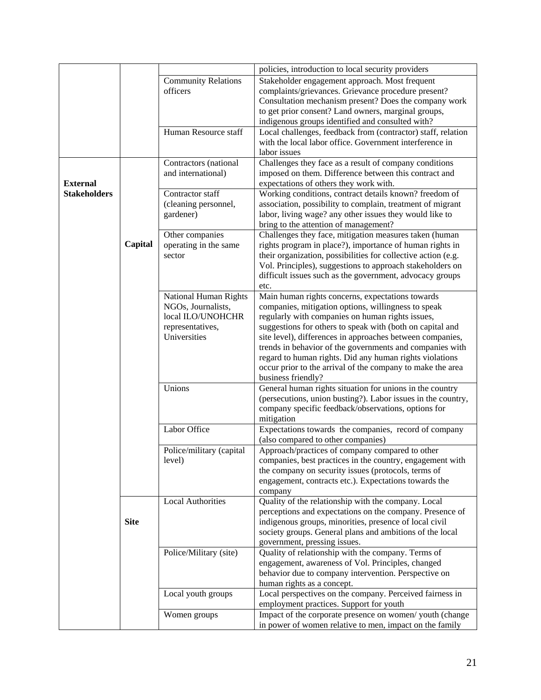|                     |             |                              | policies, introduction to local security providers             |
|---------------------|-------------|------------------------------|----------------------------------------------------------------|
|                     |             | <b>Community Relations</b>   | Stakeholder engagement approach. Most frequent                 |
|                     |             | officers                     | complaints/grievances. Grievance procedure present?            |
|                     |             |                              | Consultation mechanism present? Does the company work          |
|                     |             |                              | to get prior consent? Land owners, marginal groups,            |
|                     |             |                              | indigenous groups identified and consulted with?               |
|                     |             | Human Resource staff         | Local challenges, feedback from (contractor) staff, relation   |
|                     |             |                              | with the local labor office. Government interference in        |
|                     |             |                              |                                                                |
|                     |             |                              | labor issues                                                   |
|                     |             | Contractors (national        | Challenges they face as a result of company conditions         |
|                     |             | and international)           | imposed on them. Difference between this contract and          |
| <b>External</b>     |             |                              | expectations of others they work with.                         |
| <b>Stakeholders</b> |             | Contractor staff             | Working conditions, contract details known? freedom of         |
|                     |             | (cleaning personnel,         | association, possibility to complain, treatment of migrant     |
|                     |             | gardener)                    | labor, living wage? any other issues they would like to        |
|                     |             |                              | bring to the attention of management?                          |
|                     |             | Other companies              | Challenges they face, mitigation measures taken (human         |
|                     | Capital     | operating in the same        | rights program in place?), importance of human rights in       |
|                     |             |                              |                                                                |
|                     |             | sector                       | their organization, possibilities for collective action (e.g.  |
|                     |             |                              | Vol. Principles), suggestions to approach stakeholders on      |
|                     |             |                              | difficult issues such as the government, advocacy groups       |
|                     |             |                              | etc.                                                           |
|                     |             | <b>National Human Rights</b> | Main human rights concerns, expectations towards               |
|                     |             | NGOs, Journalists,           | companies, mitigation options, willingness to speak            |
|                     |             | local ILO/UNOHCHR            | regularly with companies on human rights issues,               |
|                     |             | representatives,             | suggestions for others to speak with (both on capital and      |
|                     |             | Universities                 | site level), differences in approaches between companies,      |
|                     |             |                              | trends in behavior of the governments and companies with       |
|                     |             |                              |                                                                |
|                     |             |                              | regard to human rights. Did any human rights violations        |
|                     |             |                              | occur prior to the arrival of the company to make the area     |
|                     |             |                              | business friendly?                                             |
|                     |             | Unions                       | General human rights situation for unions in the country       |
|                     |             |                              | (persecutions, union busting?). Labor issues in the country,   |
|                     |             |                              | company specific feedback/observations, options for            |
|                     |             |                              | mitigation                                                     |
|                     |             | Labor Office                 | Expectations towards the companies, record of company          |
|                     |             |                              | (also compared to other companies)                             |
|                     |             | Police/military (capital     | Approach/practices of company compared to other                |
|                     |             | level)                       | companies, best practices in the country, engagement with      |
|                     |             |                              | the company on security issues (protocols, terms of            |
|                     |             |                              | engagement, contracts etc.). Expectations towards the          |
|                     |             |                              |                                                                |
|                     |             | Local Authorities            | company<br>Quality of the relationship with the company. Local |
|                     |             |                              |                                                                |
|                     |             |                              | perceptions and expectations on the company. Presence of       |
|                     | <b>Site</b> |                              | indigenous groups, minorities, presence of local civil         |
|                     |             |                              | society groups. General plans and ambitions of the local       |
|                     |             |                              | government, pressing issues.                                   |
|                     |             | Police/Military (site)       | Quality of relationship with the company. Terms of             |
|                     |             |                              | engagement, awareness of Vol. Principles, changed              |
|                     |             |                              | behavior due to company intervention. Perspective on           |
|                     |             |                              | human rights as a concept.                                     |
|                     |             | Local youth groups           | Local perspectives on the company. Perceived fairness in       |
|                     |             |                              | employment practices. Support for youth                        |
|                     |             |                              |                                                                |
|                     |             | Women groups                 | Impact of the corporate presence on women/youth (change        |
|                     |             |                              | in power of women relative to men, impact on the family        |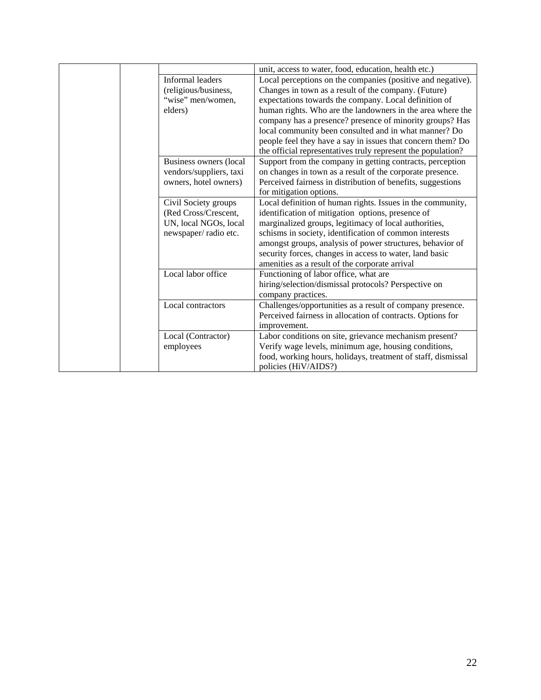|                         | unit, access to water, food, education, health etc.)         |
|-------------------------|--------------------------------------------------------------|
| Informal leaders        | Local perceptions on the companies (positive and negative).  |
| (religious/business,    | Changes in town as a result of the company. (Future)         |
| "wise" men/women,       | expectations towards the company. Local definition of        |
| elders)                 | human rights. Who are the landowners in the area where the   |
|                         | company has a presence? presence of minority groups? Has     |
|                         | local community been consulted and in what manner? Do        |
|                         | people feel they have a say in issues that concern them? Do  |
|                         | the official representatives truly represent the population? |
| Business owners (local  | Support from the company in getting contracts, perception    |
| vendors/suppliers, taxi | on changes in town as a result of the corporate presence.    |
| owners, hotel owners)   | Perceived fairness in distribution of benefits, suggestions  |
|                         | for mitigation options.                                      |
| Civil Society groups    | Local definition of human rights. Issues in the community,   |
| (Red Cross/Crescent,    | identification of mitigation options, presence of            |
| UN, local NGOs, local   | marginalized groups, legitimacy of local authorities,        |
| newspaper/radio etc.    | schisms in society, identification of common interests       |
|                         | amongst groups, analysis of power structures, behavior of    |
|                         | security forces, changes in access to water, land basic      |
|                         | amenities as a result of the corporate arrival               |
| Local labor office      | Functioning of labor office, what are                        |
|                         | hiring/selection/dismissal protocols? Perspective on         |
|                         | company practices.                                           |
| Local contractors       | Challenges/opportunities as a result of company presence.    |
|                         | Perceived fairness in allocation of contracts. Options for   |
|                         | improvement.                                                 |
| Local (Contractor)      | Labor conditions on site, grievance mechanism present?       |
| employees               | Verify wage levels, minimum age, housing conditions,         |
|                         | food, working hours, holidays, treatment of staff, dismissal |
|                         | policies (HiV/AIDS?)                                         |